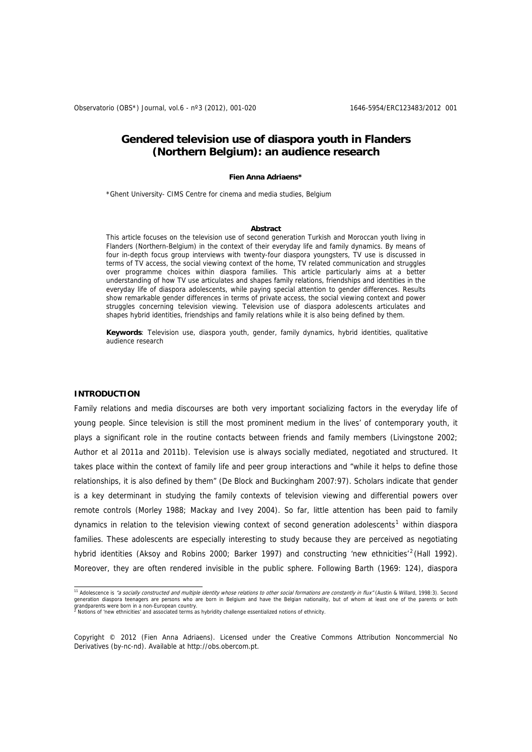# **Gendered television use of diaspora youth in Flanders (Northern Belgium): an audience research**

#### **Fien Anna Adriaens\***

\*Ghent University- CIMS Centre for cinema and media studies, Belgium

#### **Abstract**

This article focuses on the television use of second generation Turkish and Moroccan youth living in Flanders (Northern-Belgium) in the context of their everyday life and family dynamics. By means of four in-depth focus group interviews with twenty-four diaspora youngsters, TV use is discussed in terms of TV access, the social viewing context of the home, TV related communication and struggles over programme choices within diaspora families. This article particularly aims at a better understanding of how TV use articulates and shapes family relations, friendships and identities in the everyday life of diaspora adolescents, while paying special attention to gender differences. Results show remarkable gender differences in terms of private access, the social viewing context and power struggles concerning television viewing. Television use of diaspora adolescents articulates and shapes hybrid identities, friendships and family relations while it is also being defined by them.

**Keywords**: Television use, diaspora youth, gender, family dynamics, hybrid identities, qualitative audience research

#### **INTRODUCTION**

Family relations and media discourses are both very important socializing factors in the everyday life of young people. Since television is still the most prominent medium in the lives' of contemporary youth, it plays a significant role in the routine contacts between friends and family members (Livingstone 2002; Author et al 2011a and 2011b). Television use is always socially mediated, negotiated and structured. It takes place within the context of family life and peer group interactions and "while it helps to define those relationships, it is also defined by them" (De Block and Buckingham 2007:97). Scholars indicate that gender is a key determinant in studying the family contexts of television viewing and differential powers over remote controls (Morley 1988; Mackay and Ivey 2004). So far, little attention has been paid to family dynamics in relation to the television viewing context of second generation adolescents<sup>[1](#page-0-0)</sup> within diaspora families. These adolescents are especially interesting to study because they are perceived as negotiating hybrid identities (Aksoy and Robins [2](#page-0-1)000; Barker 1997) and constructing 'new ethnicities'<sup>2</sup> (Hall 1992). Moreover, they are often rendered invisible in the public sphere. Following Barth (1969: 124), diaspora

<span id="page-0-0"></span><sup>&</sup>lt;sup>11</sup> Adolescence is *"a socially constructed and multiple identity whose relations to other social formations are constantly in flux" (Austin & Willard, 1998:3). Second* generation diaspora teenagers are persons who are born in Belgium and have the Belgian nationality, but of whom at least one of the parents or both garandparents were born in a non-Furonean country grandparents were born in a non-European country.<br><sup>2</sup> Notions of 'new ethnicities' and associated terms as hybridity challenge essentialized notions of ethnicity.

<span id="page-0-1"></span>Copyright © 2012 (Fien Anna Adriaens). Licensed under the Creative Commons Attribution Noncommercial No Derivatives (by-nc-nd). Available at http://obs.obercom.pt.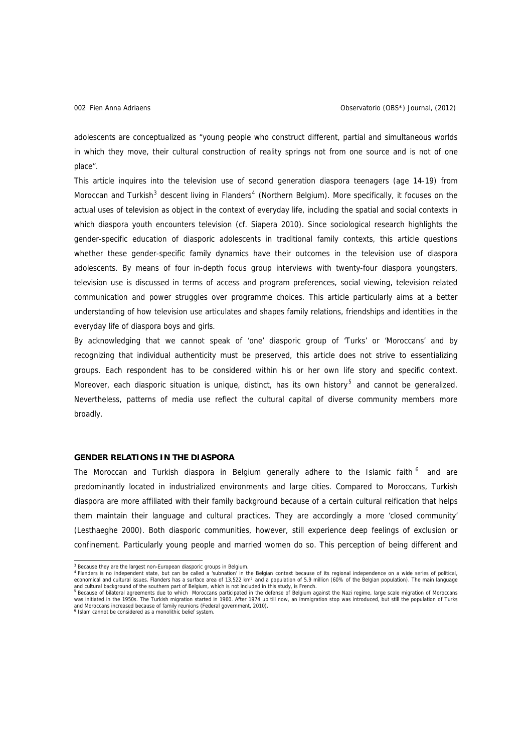adolescents are conceptualized as "young people who construct different, partial and simultaneous worlds in which they move, their cultural construction of reality springs not from one source and is not of one place".

This article inquires into the television use of second generation diaspora teenagers (age 14-19) from Moroccan and Turkish<sup>[3](#page-1-0)</sup> descent living in Flanders<sup>[4](#page-1-1)</sup> (Northern Belgium). More specifically, it focuses on the actual uses of television as object in the context of everyday life, including the spatial and social contexts in which diaspora youth encounters television (cf. Siapera 2010). Since sociological research highlights the gender-specific education of diasporic adolescents in traditional family contexts, this article questions whether these gender-specific family dynamics have their outcomes in the television use of diaspora adolescents. By means of four in-depth focus group interviews with twenty-four diaspora youngsters, television use is discussed in terms of access and program preferences, social viewing, television related communication and power struggles over programme choices. This article particularly aims at a better understanding of how television use articulates and shapes family relations, friendships and identities in the everyday life of diaspora boys and girls.

By acknowledging that we cannot speak of 'one' diasporic group of 'Turks' or 'Moroccans' and by recognizing that individual authenticity must be preserved, this article does not strive to essentializing groups. Each respondent has to be considered within his or her own life story and specific context. Moreover, each diasporic situation is unique, distinct, has its own history<sup>[5](#page-1-2)</sup> and cannot be generalized. Nevertheless, patterns of media use reflect the cultural capital of diverse community members more broadly.

## **GENDER RELATIONS IN THE DIASPORA**

The Moroccan and Turkish diaspora in Belgium generally adhere to the Islamic faith <sup>[6](#page-1-3)</sup> and are predominantly located in industrialized environments and large cities. Compared to Moroccans, Turkish diaspora are more affiliated with their family background because of a certain cultural reification that helps them maintain their language and cultural practices. They are accordingly a more 'closed community' (Lesthaeghe 2000). Both diasporic communities, however, still experience deep feelings of exclusion or confinement. Particularly young people and married women do so. This perception of being different and

<sup>&</sup>lt;sup>3</sup> Because they are the largest non-European diasporic groups in Belgium.

<span id="page-1-1"></span><span id="page-1-0"></span><sup>&</sup>lt;sup>4</sup> Flanders is no independent state, but can be called a 'subnation' in the Belgian context because of its regional independence on a wide series of political,<br>economical and cultural issues. Flanders has a surface area o

<span id="page-1-2"></span>was initiated in the 1950s. The Turkish migration started in 1960. After 1974 up till now, an immigration stop was introduced, but still the population of Turks and Moroccans increased because of family reunions (Federal government, 2010).<br><sup>6</sup> Islam cannot be considered as a monolithic belief system.

<span id="page-1-3"></span>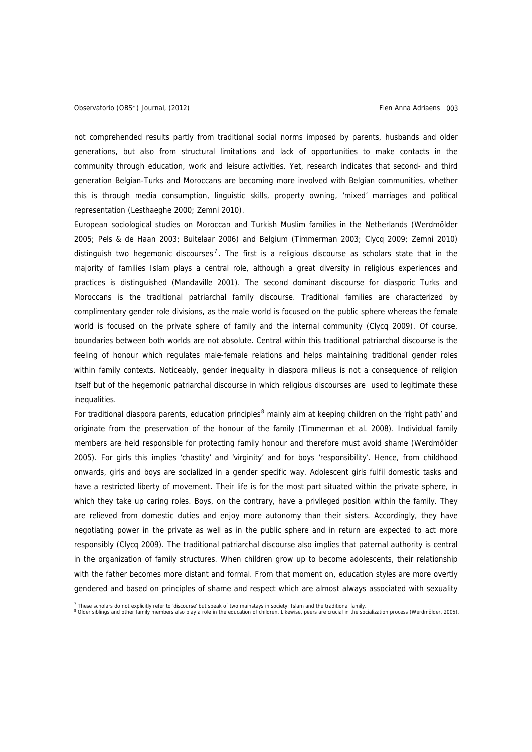<span id="page-2-0"></span>not comprehended results partly from traditional social norms imposed by parents, husbands and older generations, but also from structural limitations and lack of opportunities to make contacts in the community through education, work and leisure activities. Yet, research indicates that second- and third generation Belgian-Turks and Moroccans are becoming more involved with Belgian communities, whether this is through media consumption, linguistic skills, property owning, 'mixed' marriages and political representation (Lesthaeghe 2000; Zemni 2010).

European sociological studies on Moroccan and Turkish Muslim families in the Netherlands (Werdmölder 2005; Pels & de Haan 2003; Buitelaar 2006) and Belgium (Timmerman 2003; Clycq 2009; Zemni 2010) distinguish two hegemonic discourses<sup>[7](#page-2-0)</sup>. The first is a religious discourse as scholars state that in the majority of families Islam plays a central role, although a great diversity in religious experiences and practices is distinguished (Mandaville 2001). The second dominant discourse for diasporic Turks and Moroccans is the traditional patriarchal family discourse. Traditional families are characterized by complimentary gender role divisions, as the male world is focused on the public sphere whereas the female world is focused on the private sphere of family and the internal community (Clycq 2009). Of course, boundaries between both worlds are not absolute. Central within this traditional patriarchal discourse is the feeling of honour which regulates male-female relations and helps maintaining traditional gender roles within family contexts. Noticeably, gender inequality in diaspora milieus is not a consequence of religion itself but of the hegemonic patriarchal discourse in which religious discourses are used to legitimate these inequalities.

For traditional diaspora parents, education principles<sup>[8](#page-2-0)</sup> mainly aim at keeping children on the 'right path' and originate from the preservation of the honour of the family (Timmerman et al. 2008). Individual family members are held responsible for protecting family honour and therefore must avoid shame (Werdmölder 2005). For girls this implies 'chastity' and 'virginity' and for boys 'responsibility'. Hence, from childhood onwards, girls and boys are socialized in a gender specific way. Adolescent girls fulfil domestic tasks and have a restricted liberty of movement. Their life is for the most part situated within the private sphere, in which they take up caring roles. Boys, on the contrary, have a privileged position within the family. They are relieved from domestic duties and enjoy more autonomy than their sisters. Accordingly, they have negotiating power in the private as well as in the public sphere and in return are expected to act more responsibly (Clycq 2009). The traditional patriarchal discourse also implies that paternal authority is central in the organization of family structures. When children grow up to become adolescents, their relationship with the father becomes more distant and formal. From that moment on, education styles are more overtly gendered and based on principles of shame and respect which are almost always associated with sexuality

<sup>&</sup>lt;sup>7</sup> These scholars do not explicitly refer to 'discourse' but speak of two mainstays in society: Islam and the traditional family.<br><sup>8</sup> Older siblings and other family members also play a role in the education of children.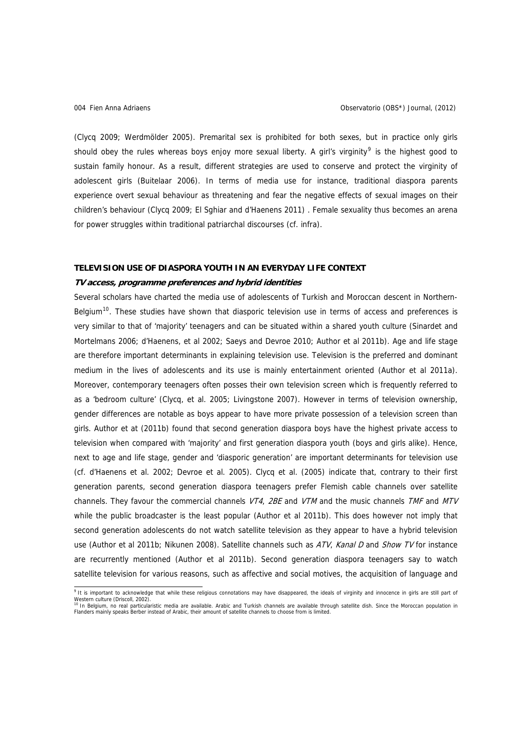<span id="page-3-0"></span>(Clycq 2009; Werdmölder 2005). Premarital sex is prohibited for both sexes, but in practice only girls should obey the rules whereas boys enjoy more sexual liberty. A girl's virginity<sup>[9](#page-3-0)</sup> is the highest good to sustain family honour. As a result, different strategies are used to conserve and protect the virginity of adolescent girls (Buitelaar 2006). In terms of media use for instance, traditional diaspora parents experience overt sexual behaviour as threatening and fear the negative effects of sexual images on their children's behaviour (Clycq 2009; El Sghiar and d'Haenens 2011) . Female sexuality thus becomes an arena for power struggles within traditional patriarchal discourses (cf. infra).

#### **TELEVISION USE OF DIASPORA YOUTH IN AN EVERYDAY LIFE CONTEXT**

#### **TV access, programme preferences and hybrid identities**

Several scholars have charted the media use of adolescents of Turkish and Moroccan descent in Northern-Belgium<sup>[10](#page-3-0)</sup>. These studies have shown that diasporic television use in terms of access and preferences is very similar to that of 'majority' teenagers and can be situated within a shared youth culture (Sinardet and Mortelmans 2006; d'Haenens, et al 2002; Saeys and Devroe 2010; Author et al 2011b). Age and life stage are therefore important determinants in explaining television use. Television is the preferred and dominant medium in the lives of adolescents and its use is mainly entertainment oriented (Author et al 2011a). Moreover, contemporary teenagers often posses their own television screen which is frequently referred to as a 'bedroom culture' (Clycq, et al. 2005; Livingstone 2007). However in terms of television ownership, gender differences are notable as boys appear to have more private possession of a television screen than girls. Author et at (2011b) found that second generation diaspora boys have the highest private access to television when compared with 'majority' and first generation diaspora youth (boys and girls alike). Hence, next to age and life stage, gender and 'diasporic generation' are important determinants for television use (cf. d'Haenens et al. 2002; Devroe et al. 2005). Clycq et al. (2005) indicate that, contrary to their first generation parents, second generation diaspora teenagers prefer Flemish cable channels over satellite channels. They favour the commercial channels VT4, 2BE and VTM and the music channels TMF and MTV while the public broadcaster is the least popular (Author et al 2011b). This does however not imply that second generation adolescents do not watch satellite television as they appear to have a hybrid television use (Author et al 2011b; Nikunen 2008). Satellite channels such as ATV, Kanal D and Show TV for instance are recurrently mentioned (Author et al 2011b). Second generation diaspora teenagers say to watch satellite television for various reasons, such as affective and social motives, the acquisition of language and

e It is important to acknowledge that while these religious connotations may have disappeared, the ideals of virginity and innocence in girls are still part of Western culture (Driscoll, 2002).<br><sup>10</sup> In Belgium, no real particularistic media are available. Arabic and Turkish channels are available through satellite dish. Since the Moroccan population in

Flanders mainly speaks Berber instead of Arabic, their amount of satellite channels to choose from is limited.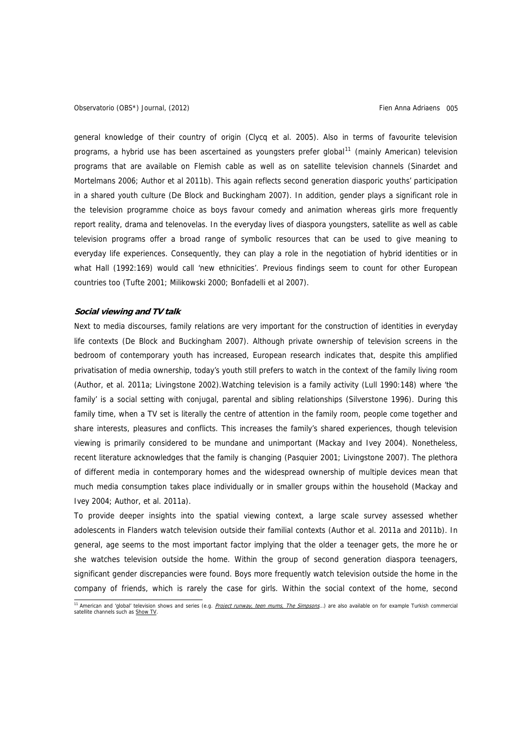<span id="page-4-0"></span>general knowledge of their country of origin (Clycq et al. 2005). Also in terms of favourite television programs, a hybrid use has been ascertained as youngsters prefer global<sup>[11](#page-4-0)</sup> (mainly American) television programs that are available on Flemish cable as well as on satellite television channels (Sinardet and Mortelmans 2006; Author et al 2011b). This again reflects second generation diasporic youths' participation in a shared youth culture (De Block and Buckingham 2007). In addition, gender plays a significant role in the television programme choice as boys favour comedy and animation whereas girls more frequently report reality, drama and telenovelas. In the everyday lives of diaspora youngsters, satellite as well as cable television programs offer a broad range of symbolic resources that can be used to give meaning to everyday life experiences. Consequently, they can play a role in the negotiation of hybrid identities or in what Hall (1992:169) would call 'new ethnicities'. Previous findings seem to count for other European countries too (Tufte 2001; Milikowski 2000; Bonfadelli et al 2007).

#### **Social viewing and TV talk**

Next to media discourses, family relations are very important for the construction of identities in everyday life contexts (De Block and Buckingham 2007). Although private ownership of television screens in the bedroom of contemporary youth has increased, European research indicates that, despite this amplified privatisation of media ownership, today's youth still prefers to watch in the context of the family living room (Author, et al. 2011a; Livingstone 2002).Watching television is a family activity (Lull 1990:148) where 'the family' is a social setting with conjugal, parental and sibling relationships (Silverstone 1996). During this family time, when a TV set is literally the centre of attention in the family room, people come together and share interests, pleasures and conflicts. This increases the family's shared experiences, though television viewing is primarily considered to be mundane and unimportant (Mackay and Ivey 2004). Nonetheless, recent literature acknowledges that the family is changing (Pasquier 2001; Livingstone 2007). The plethora of different media in contemporary homes and the widespread ownership of multiple devices mean that much media consumption takes place individually or in smaller groups within the household (Mackay and Ivey 2004; Author, et al. 2011a).

To provide deeper insights into the spatial viewing context, a large scale survey assessed whether adolescents in Flanders watch television outside their familial contexts (Author et al. 2011a and 2011b). In general, age seems to the most important factor implying that the older a teenager gets, the more he or she watches television outside the home. Within the group of second generation diaspora teenagers, significant gender discrepancies were found. Boys more frequently watch television outside the home in the company of friends, which is rarely the case for girls. Within the social context of the home, second

<sup>11</sup> American and 'global' television shows and series (e.g. *Project runway, teen mums, The Simpsons*...) are also available on for example Turkish commercial satellite channels such as Show TV.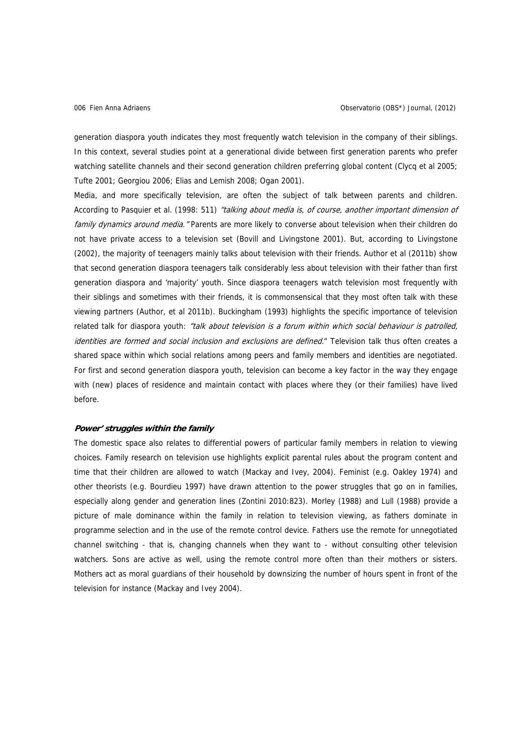generation diaspora youth indicates they most frequently watch television in the company of their siblings. In this context, several studies point at a generational divide between first generation parents who prefer watching satellite channels and their second generation children preferring global content (Clycq et al 2005; Tufte 2001; Georgiou 2006; Elias and Lemish 2008; Ogan 2001).

Media, and more specifically television, are often the subject of talk between parents and children. According to Pasquier et al. (1998: 511) "talking about media is, of course, another important dimension of family dynamics around media. "Parents are more likely to converse about television when their children do not have private access to a television set (Bovill and Livingstone 2001). But, according to Livingstone (2002), the majority of teenagers mainly talks about television with their friends. Author et al (2011b) show that second generation diaspora teenagers talk considerably less about television with their father than first generation diaspora and 'majority' youth. Since diaspora teenagers watch television most frequently with their siblings and sometimes with their friends, it is commonsensical that they most often talk with these viewing partners (Author, et al 2011b). Buckingham (1993) highlights the specific importance of television related talk for diaspora youth: "talk about television is a forum within which social behaviour is patrolled, identities are formed and social inclusion and exclusions are defined." Television talk thus often creates a shared space within which social relations among peers and family members and identities are negotiated. For first and second generation diaspora youth, television can become a key factor in the way they engage with (new) places of residence and maintain contact with places where they (or their families) have lived before.

#### **Power' struggles within the family**

The domestic space also relates to differential powers of particular family members in relation to viewing choices. Family research on television use highlights explicit parental rules about the program content and time that their children are allowed to watch (Mackay and Ivey, 2004). Feminist (e.g. Oakley 1974) and other theorists (e.g. Bourdieu 1997) have drawn attention to the power struggles that go on in families, especially along gender and generation lines (Zontini 2010:823). Morley (1988) and Lull (1988) provide a picture of male dominance within the family in relation to television viewing, as fathers dominate in programme selection and in the use of the remote control device. Fathers use the remote for unnegotiated channel switching - that is, changing channels when they want to - without consulting other television watchers. Sons are active as well, using the remote control more often than their mothers or sisters. Mothers act as moral guardians of their household by downsizing the number of hours spent in front of the television for instance (Mackay and Ivey 2004).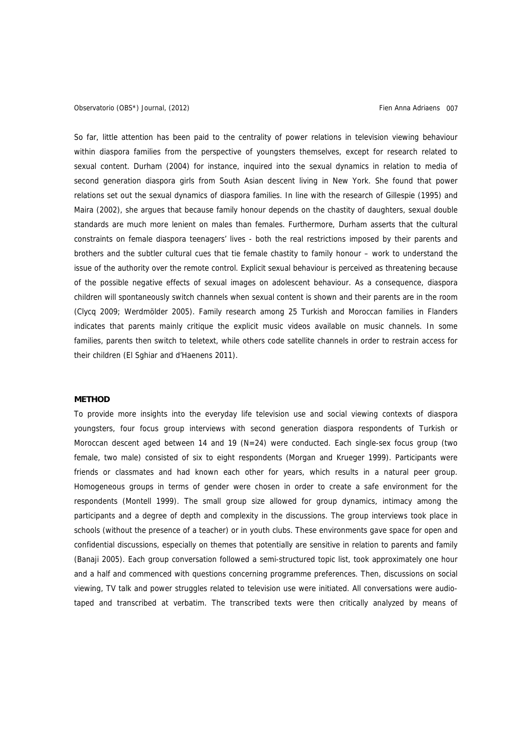So far, little attention has been paid to the centrality of power relations in television viewing behaviour within diaspora families from the perspective of youngsters themselves, except for research related to sexual content. Durham (2004) for instance, inquired into the sexual dynamics in relation to media of second generation diaspora girls from South Asian descent living in New York. She found that power relations set out the sexual dynamics of diaspora families. In line with the research of Gillespie (1995) and Maira (2002), she argues that because family honour depends on the chastity of daughters, sexual double standards are much more lenient on males than females. Furthermore, Durham asserts that the cultural constraints on female diaspora teenagers' lives - both the real restrictions imposed by their parents and brothers and the subtler cultural cues that tie female chastity to family honour – work to understand the issue of the authority over the remote control. Explicit sexual behaviour is perceived as threatening because of the possible negative effects of sexual images on adolescent behaviour. As a consequence, diaspora children will spontaneously switch channels when sexual content is shown and their parents are in the room (Clycq 2009; Werdmölder 2005). Family research among 25 Turkish and Moroccan families in Flanders indicates that parents mainly critique the explicit music videos available on music channels. In some families, parents then switch to teletext, while others code satellite channels in order to restrain access for their children (El Sghiar and d'Haenens 2011).

## **METHOD**

To provide more insights into the everyday life television use and social viewing contexts of diaspora youngsters, four focus group interviews with second generation diaspora respondents of Turkish or Moroccan descent aged between 14 and 19 (N=24) were conducted. Each single-sex focus group (two female, two male) consisted of six to eight respondents (Morgan and Krueger 1999). Participants were friends or classmates and had known each other for years, which results in a natural peer group. Homogeneous groups in terms of gender were chosen in order to create a safe environment for the respondents (Montell 1999). The small group size allowed for group dynamics, intimacy among the participants and a degree of depth and complexity in the discussions. The group interviews took place in schools (without the presence of a teacher) or in youth clubs. These environments gave space for open and confidential discussions, especially on themes that potentially are sensitive in relation to parents and family (Banaji 2005). Each group conversation followed a semi-structured topic list, took approximately one hour and a half and commenced with questions concerning programme preferences. Then, discussions on social viewing, TV talk and power struggles related to television use were initiated. All conversations were audiotaped and transcribed at verbatim. The transcribed texts were then critically analyzed by means of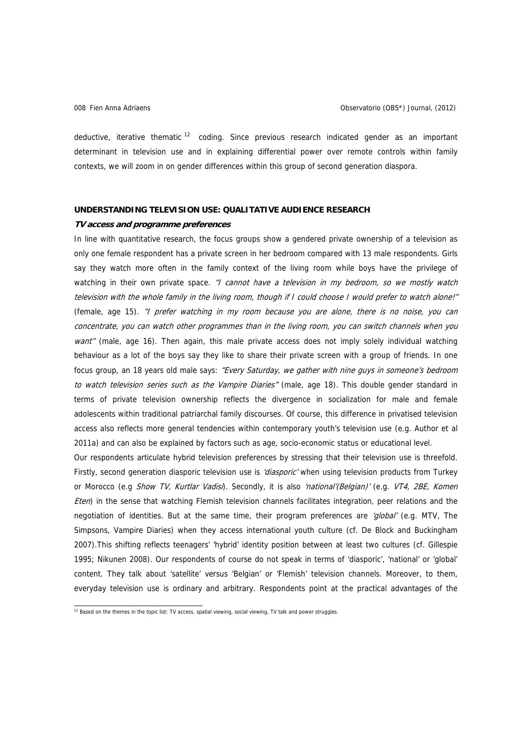<span id="page-7-0"></span>deductive, iterative thematic<sup>[12](#page-7-0)</sup> coding. Since previous research indicated gender as an important determinant in television use and in explaining differential power over remote controls within family contexts, we will zoom in on gender differences within this group of second generation diaspora.

## **UNDERSTANDING TELEVISION USE: QUALITATIVE AUDIENCE RESEARCH**

#### **TV access and programme preferences**

In line with quantitative research, the focus groups show a gendered private ownership of a television as only one female respondent has a private screen in her bedroom compared with 13 male respondents. Girls say they watch more often in the family context of the living room while boys have the privilege of watching in their own private space. "I cannot have a television in my bedroom, so we mostly watch television with the whole family in the living room, though if I could choose I would prefer to watch alone!" (female, age 15). "I prefer watching in my room because you are alone, there is no noise, you can concentrate, you can watch other programmes than in the living room, you can switch channels when you want" (male, age 16). Then again, this male private access does not imply solely individual watching behaviour as a lot of the boys say they like to share their private screen with a group of friends. In one focus group, an 18 years old male says: "Every Saturday, we gather with nine guys in someone's bedroom to watch television series such as the Vampire Diaries" (male, age 18). This double gender standard in terms of private television ownership reflects the divergence in socialization for male and female adolescents within traditional patriarchal family discourses. Of course, this difference in privatised television access also reflects more general tendencies within contemporary youth's television use (e.g. Author et al 2011a) and can also be explained by factors such as age, socio-economic status or educational level.

Our respondents articulate hybrid television preferences by stressing that their television use is threefold. Firstly, second generation diasporic television use is 'diasporic' when using television products from Turkey or Morocco (e.g Show TV, Kurtlar Vadisi). Secondly, it is also 'national'(Belgian)' (e.g. VT4, 2BE, Komen Eten) in the sense that watching Flemish television channels facilitates integration, peer relations and the negotiation of identities. But at the same time, their program preferences are 'global' (e.g. MTV, The Simpsons, Vampire Diaries) when they access international youth culture (cf. De Block and Buckingham 2007).This shifting reflects teenagers' 'hybrid' identity position between at least two cultures (cf. Gillespie 1995; Nikunen 2008). Our respondents of course do not speak in terms of 'diasporic', 'national' or 'global' content. They talk about 'satellite' versus 'Belgian' or 'Flemish' television channels. Moreover, to them, everyday television use is ordinary and arbitrary. Respondents point at the practical advantages of the

<sup>&</sup>lt;sup>12</sup> Based on the themes in the topic list: TV access, spatial viewing, social viewing, TV talk and power struggles.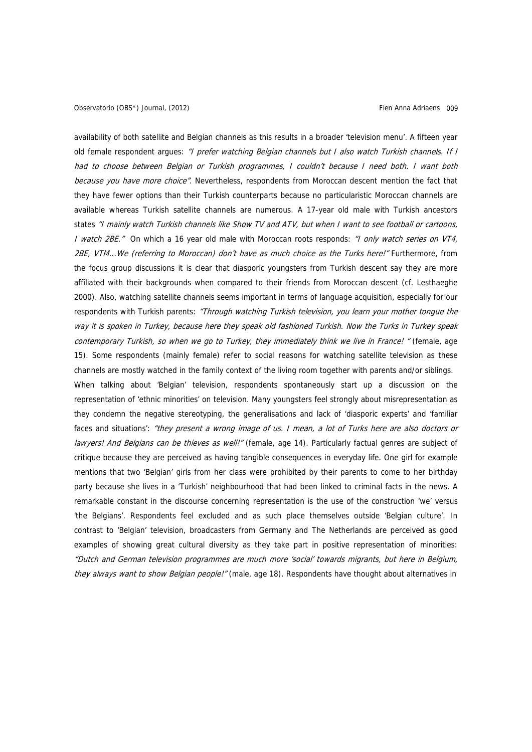availability of both satellite and Belgian channels as this results in a broader 'television menu'. A fifteen year old female respondent argues: "I prefer watching Belgian channels but I also watch Turkish channels. If I had to choose between Belgian or Turkish programmes, I couldn't because I need both. I want both because you have more choice". Nevertheless, respondents from Moroccan descent mention the fact that they have fewer options than their Turkish counterparts because no particularistic Moroccan channels are available whereas Turkish satellite channels are numerous. A 17-year old male with Turkish ancestors states "I mainly watch Turkish channels like Show TV and ATV, but when I want to see football or cartoons, I watch 2BE." On which a 16 year old male with Moroccan roots responds: "I only watch series on VT4, 2BE, VTM...We (referring to Moroccan) don't have as much choice as the Turks here!" Furthermore, from the focus group discussions it is clear that diasporic youngsters from Turkish descent say they are more affiliated with their backgrounds when compared to their friends from Moroccan descent (cf. Lesthaeghe 2000). Also, watching satellite channels seems important in terms of language acquisition, especially for our respondents with Turkish parents: "Through watching Turkish television, you learn your mother tongue the way it is spoken in Turkey, because here they speak old fashioned Turkish. Now the Turks in Turkey speak contemporary Turkish, so when we go to Turkey, they immediately think we live in France! " (female, age 15). Some respondents (mainly female) refer to social reasons for watching satellite television as these channels are mostly watched in the family context of the living room together with parents and/or siblings. When talking about 'Belgian' television, respondents spontaneously start up a discussion on the representation of 'ethnic minorities' on television. Many youngsters feel strongly about misrepresentation as

they condemn the negative stereotyping, the generalisations and lack of 'diasporic experts' and 'familiar faces and situations': "they present a wrong image of us. I mean, a lot of Turks here are also doctors or lawyers! And Belgians can be thieves as well!" (female, age 14). Particularly factual genres are subject of critique because they are perceived as having tangible consequences in everyday life. One girl for example mentions that two 'Belgian' girls from her class were prohibited by their parents to come to her birthday party because she lives in a 'Turkish' neighbourhood that had been linked to criminal facts in the news. A remarkable constant in the discourse concerning representation is the use of the construction 'we' versus 'the Belgians'. Respondents feel excluded and as such place themselves outside 'Belgian culture'. In contrast to 'Belgian' television, broadcasters from Germany and The Netherlands are perceived as good examples of showing great cultural diversity as they take part in positive representation of minorities: "Dutch and German television programmes are much more 'social' towards migrants, but here in Belgium, they always want to show Belgian people!" (male, age 18). Respondents have thought about alternatives in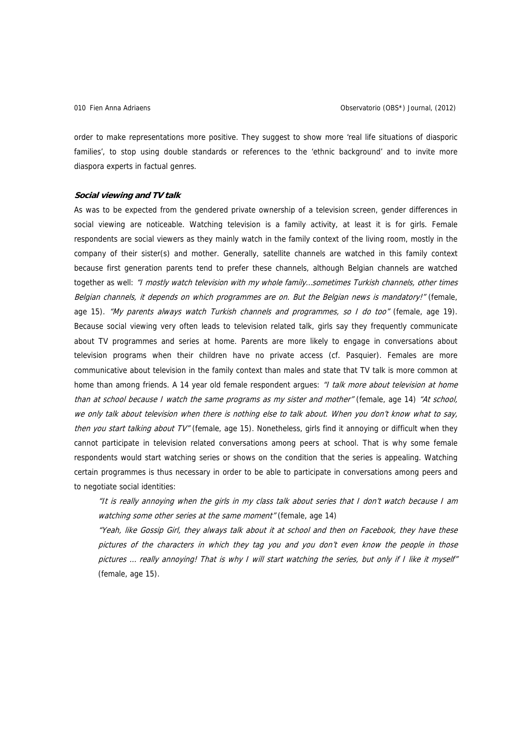order to make representations more positive. They suggest to show more 'real life situations of diasporic families', to stop using double standards or references to the 'ethnic background' and to invite more diaspora experts in factual genres.

#### **Social viewing and TV talk**

As was to be expected from the gendered private ownership of a television screen, gender differences in social viewing are noticeable. Watching television is a family activity, at least it is for girls. Female respondents are social viewers as they mainly watch in the family context of the living room, mostly in the company of their sister(s) and mother. Generally, satellite channels are watched in this family context because first generation parents tend to prefer these channels, although Belgian channels are watched together as well: "I mostly watch television with my whole family...sometimes Turkish channels, other times Belgian channels, it depends on which programmes are on. But the Belgian news is mandatory!" (female, age 15). "My parents always watch Turkish channels and programmes, so I do too" (female, age 19). Because social viewing very often leads to television related talk, girls say they frequently communicate about TV programmes and series at home. Parents are more likely to engage in conversations about television programs when their children have no private access (cf. Pasquier). Females are more communicative about television in the family context than males and state that TV talk is more common at home than among friends. A 14 year old female respondent argues: "I talk more about television at home than at school because I watch the same programs as my sister and mother" (female, age 14) "At school, we only talk about television when there is nothing else to talk about. When you don't know what to say, then you start talking about TV" (female, age 15). Nonetheless, girls find it annoying or difficult when they cannot participate in television related conversations among peers at school. That is why some female respondents would start watching series or shows on the condition that the series is appealing. Watching certain programmes is thus necessary in order to be able to participate in conversations among peers and to negotiate social identities:

"It is really annoying when the girls in my class talk about series that I don't watch because I am watching some other series at the same moment" (female, age 14)

"Yeah, like Gossip Girl, they always talk about it at school and then on Facebook, they have these pictures of the characters in which they tag you and you don't even know the people in those pictures ... really annoying! That is why I will start watching the series, but only if I like it myself" (female, age 15).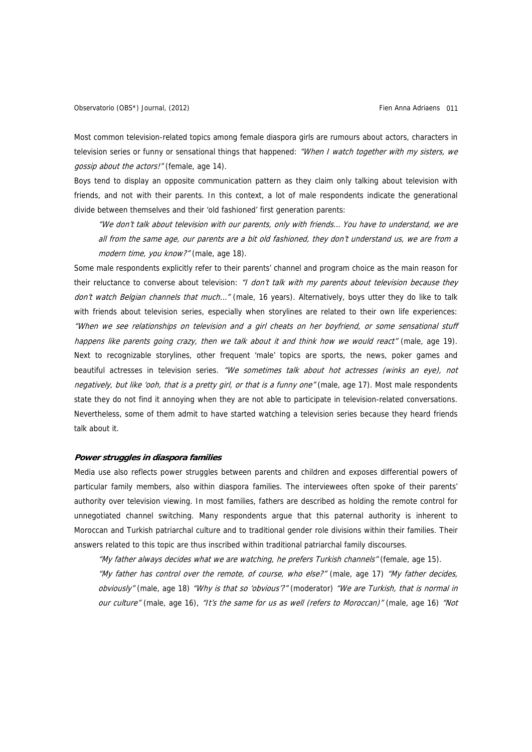Most common television-related topics among female diaspora girls are rumours about actors, characters in television series or funny or sensational things that happened: "When I watch together with my sisters, we gossip about the actors!" (female, age 14).

Boys tend to display an opposite communication pattern as they claim only talking about television with friends, and not with their parents. In this context, a lot of male respondents indicate the generational divide between themselves and their 'old fashioned' first generation parents:

"We don't talk about television with our parents, only with friends… You have to understand, we are all from the same age, our parents are a bit old fashioned, they don't understand us, we are from a modern time, you know?" (male, age 18).

Some male respondents explicitly refer to their parents' channel and program choice as the main reason for their reluctance to converse about television: "I don't talk with my parents about television because they don't watch Belgian channels that much..." (male, 16 years). Alternatively, boys utter they do like to talk with friends about television series, especially when storylines are related to their own life experiences: "When we see relationships on television and a girl cheats on her boyfriend, or some sensational stuff happens like parents going crazy, then we talk about it and think how we would react" (male, age 19). Next to recognizable storylines, other frequent 'male' topics are sports, the news, poker games and beautiful actresses in television series. "We sometimes talk about hot actresses (winks an eye), not negatively, but like 'ooh, that is a pretty girl, or that is a funny one" (male, age 17). Most male respondents state they do not find it annoying when they are not able to participate in television-related conversations. Nevertheless, some of them admit to have started watching a television series because they heard friends talk about it.

#### **Power struggles in diaspora families**

Media use also reflects power struggles between parents and children and exposes differential powers of particular family members, also within diaspora families. The interviewees often spoke of their parents' authority over television viewing. In most families, fathers are described as holding the remote control for unnegotiated channel switching. Many respondents argue that this paternal authority is inherent to Moroccan and Turkish patriarchal culture and to traditional gender role divisions within their families. Their answers related to this topic are thus inscribed within traditional patriarchal family discourses.

"My father always decides what we are watching, he prefers Turkish channels" (female, age 15). "My father has control over the remote, of course, who else?" (male, age 17) "My father decides, obviously" (male, age 18) "Why is that so 'obvious'?" (moderator) "We are Turkish, that is normal in our culture" (male, age 16), "It's the same for us as well (refers to Moroccan)" (male, age 16) "Not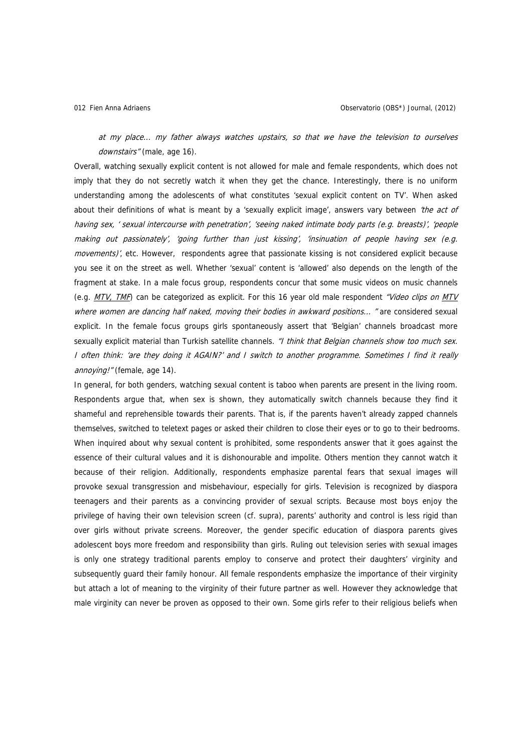at my place... my father always watches upstairs, so that we have the television to ourselves downstairs" (male, age 16).

Overall, watching sexually explicit content is not allowed for male and female respondents, which does not imply that they do not secretly watch it when they get the chance. Interestingly, there is no uniform understanding among the adolescents of what constitutes 'sexual explicit content on TV'. When asked about their definitions of what is meant by a 'sexually explicit image', answers vary between 'the act of having sex, ' sexual intercourse with penetration', 'seeing naked intimate body parts (e.g. breasts)', 'people making out passionately', 'going further than just kissing', 'insinuation of people having sex (e.g. movements)', etc. However, respondents agree that passionate kissing is not considered explicit because you see it on the street as well. Whether 'sexual' content is 'allowed' also depends on the length of the fragment at stake. In a male focus group, respondents concur that some music videos on music channels (e.g.  $MTV$ , TMF) can be categorized as explicit. For this 16 year old male respondent "Video clips on MTV where women are dancing half naked, moving their bodies in awkward positions... " are considered sexual explicit. In the female focus groups girls spontaneously assert that 'Belgian' channels broadcast more sexually explicit material than Turkish satellite channels. "I think that Belgian channels show too much sex. I often think: 'are they doing it AGAIN?' and I switch to another programme. Sometimes I find it really annoying!" (female, age 14).

In general, for both genders, watching sexual content is taboo when parents are present in the living room. Respondents argue that, when sex is shown, they automatically switch channels because they find it shameful and reprehensible towards their parents. That is, if the parents haven't already zapped channels themselves, switched to teletext pages or asked their children to close their eyes or to go to their bedrooms. When inquired about why sexual content is prohibited, some respondents answer that it goes against the essence of their cultural values and it is dishonourable and impolite. Others mention they cannot watch it because of their religion. Additionally, respondents emphasize parental fears that sexual images will provoke sexual transgression and misbehaviour, especially for girls. Television is recognized by diaspora teenagers and their parents as a convincing provider of sexual scripts. Because most boys enjoy the privilege of having their own television screen (cf. supra), parents' authority and control is less rigid than over girls without private screens. Moreover, the gender specific education of diaspora parents gives adolescent boys more freedom and responsibility than girls. Ruling out television series with sexual images is only one strategy traditional parents employ to conserve and protect their daughters' virginity and subsequently quard their family honour. All female respondents emphasize the importance of their virginity but attach a lot of meaning to the virginity of their future partner as well. However they acknowledge that male virginity can never be proven as opposed to their own. Some girls refer to their religious beliefs when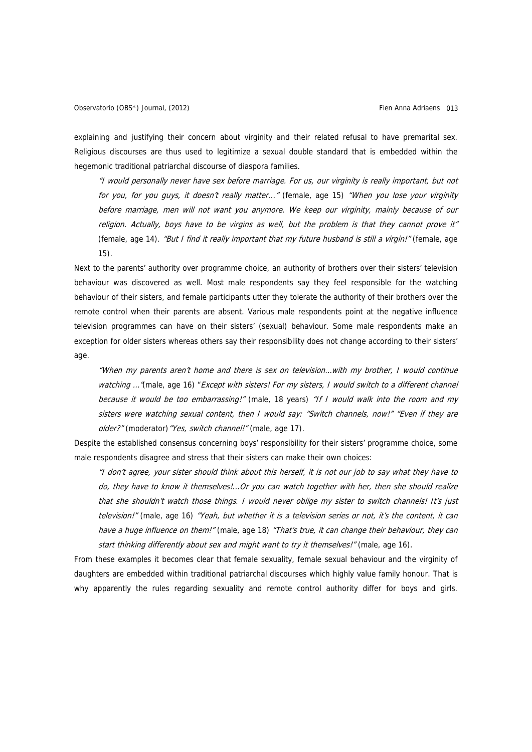explaining and justifying their concern about virginity and their related refusal to have premarital sex. Religious discourses are thus used to legitimize a sexual double standard that is embedded within the hegemonic traditional patriarchal discourse of diaspora families.

"I would personally never have sex before marriage. For us, our virginity is really important, but not for you, for you guys, it doesn't really matter..." (female, age 15) "When you lose your virginity before marriage, men will not want you anymore. We keep our virginity, mainly because of our religion. Actually, boys have to be virgins as well, but the problem is that they cannot prove it" (female, age 14). "But I find it really important that my future husband is still a virgin!" (female, age 15).

Next to the parents' authority over programme choice, an authority of brothers over their sisters' television behaviour was discovered as well. Most male respondents say they feel responsible for the watching behaviour of their sisters, and female participants utter they tolerate the authority of their brothers over the remote control when their parents are absent. Various male respondents point at the negative influence television programmes can have on their sisters' (sexual) behaviour. Some male respondents make an exception for older sisters whereas others say their responsibility does not change according to their sisters' age.

"When my parents aren't home and there is sex on television…with my brother, I would continue watching ... "(male, age 16) "Except with sisters! For my sisters, I would switch to a different channel because it would be too embarrassing!" (male, 18 years) "If I would walk into the room and my sisters were watching sexual content, then I would say: "Switch channels, now!" "Even if they are older?" (moderator) "Yes, switch channel!" (male, age 17).

Despite the established consensus concerning boys' responsibility for their sisters' programme choice, some male respondents disagree and stress that their sisters can make their own choices:

"I don't agree, your sister should think about this herself, it is not our job to say what they have to do, they have to know it themselves!...Or you can watch together with her, then she should realize that she shouldn't watch those things. I would never oblige my sister to switch channels! It's just television!" (male, age 16) "Yeah, but whether it is a television series or not, it's the content, it can have a huge influence on them!" (male, age 18) "That's true, it can change their behaviour, they can start thinking differently about sex and might want to try it themselves!" (male, age 16).

From these examples it becomes clear that female sexuality, female sexual behaviour and the virginity of daughters are embedded within traditional patriarchal discourses which highly value family honour. That is why apparently the rules regarding sexuality and remote control authority differ for boys and girls.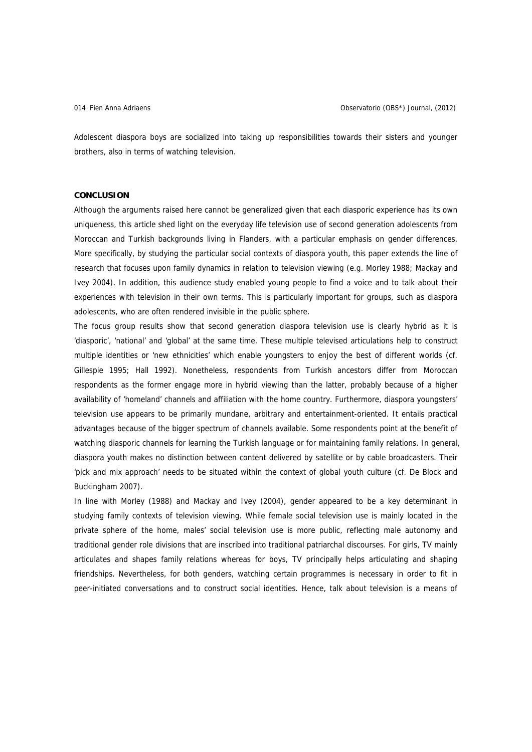Adolescent diaspora boys are socialized into taking up responsibilities towards their sisters and younger brothers, also in terms of watching television.

#### **CONCLUSION**

Although the arguments raised here cannot be generalized given that each diasporic experience has its own uniqueness, this article shed light on the everyday life television use of second generation adolescents from Moroccan and Turkish backgrounds living in Flanders, with a particular emphasis on gender differences. More specifically, by studying the particular social contexts of diaspora youth, this paper extends the line of research that focuses upon family dynamics in relation to television viewing (e.g. Morley 1988; Mackay and Ivey 2004). In addition, this audience study enabled young people to find a voice and to talk about their experiences with television in their own terms. This is particularly important for groups, such as diaspora adolescents, who are often rendered invisible in the public sphere.

The focus group results show that second generation diaspora television use is clearly hybrid as it is 'diasporic', 'national' and 'global' at the same time. These multiple televised articulations help to construct multiple identities or 'new ethnicities' which enable youngsters to enjoy the best of different worlds (cf. Gillespie 1995; Hall 1992). Nonetheless, respondents from Turkish ancestors differ from Moroccan respondents as the former engage more in hybrid viewing than the latter, probably because of a higher availability of 'homeland' channels and affiliation with the home country. Furthermore, diaspora youngsters' television use appears to be primarily mundane, arbitrary and entertainment-oriented. It entails practical advantages because of the bigger spectrum of channels available. Some respondents point at the benefit of watching diasporic channels for learning the Turkish language or for maintaining family relations. In general, diaspora youth makes no distinction between content delivered by satellite or by cable broadcasters. Their 'pick and mix approach' needs to be situated within the context of global youth culture (cf. De Block and Buckingham 2007).

In line with Morley (1988) and Mackay and Ivey (2004), gender appeared to be a key determinant in studying family contexts of television viewing. While female social television use is mainly located in the private sphere of the home, males' social television use is more public, reflecting male autonomy and traditional gender role divisions that are inscribed into traditional patriarchal discourses. For girls, TV mainly articulates and shapes family relations whereas for boys, TV principally helps articulating and shaping friendships. Nevertheless, for both genders, watching certain programmes is necessary in order to fit in peer-initiated conversations and to construct social identities. Hence, talk about television is a means of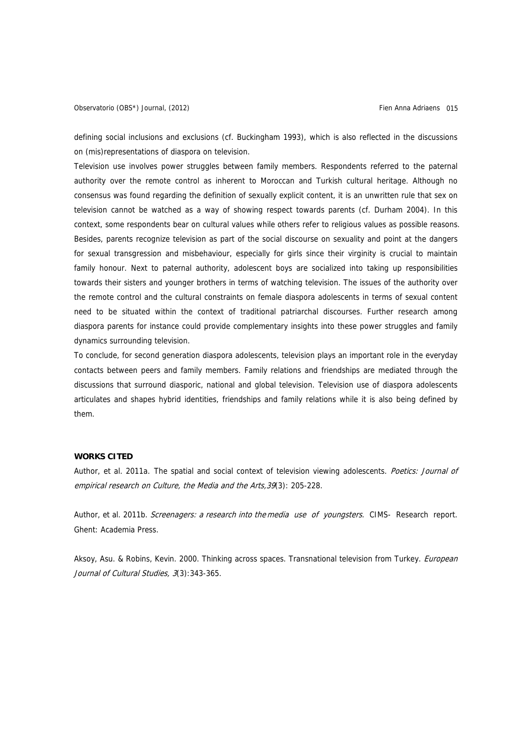defining social inclusions and exclusions (cf. Buckingham 1993), which is also reflected in the discussions on (mis)representations of diaspora on television.

Television use involves power struggles between family members. Respondents referred to the paternal authority over the remote control as inherent to Moroccan and Turkish cultural heritage. Although no consensus was found regarding the definition of sexually explicit content, it is an unwritten rule that sex on television cannot be watched as a way of showing respect towards parents (cf. Durham 2004). In this context, some respondents bear on cultural values while others refer to religious values as possible reasons. Besides, parents recognize television as part of the social discourse on sexuality and point at the dangers for sexual transgression and misbehaviour, especially for girls since their virginity is crucial to maintain family honour. Next to paternal authority, adolescent boys are socialized into taking up responsibilities towards their sisters and younger brothers in terms of watching television. The issues of the authority over the remote control and the cultural constraints on female diaspora adolescents in terms of sexual content need to be situated within the context of traditional patriarchal discourses. Further research among diaspora parents for instance could provide complementary insights into these power struggles and family dynamics surrounding television.

To conclude, for second generation diaspora adolescents, television plays an important role in the everyday contacts between peers and family members. Family relations and friendships are mediated through the discussions that surround diasporic, national and global television. Television use of diaspora adolescents articulates and shapes hybrid identities, friendships and family relations while it is also being defined by them.

## **WORKS CITED**

Author, et al. 2011a. The spatial and social context of television viewing adolescents. Poetics: Journal of empirical research on Culture, the Media and the Arts,39(3): 205-228.

Author, et al. 2011b. Screenagers: a research into the media use of voungsters. CIMS- Research report. Ghent: Academia Press.

Aksoy, Asu. & Robins, Kevin. 2000. Thinking across spaces. Transnational television from Turkey. *European* Journal of Cultural Studies, 3(3): 343-365.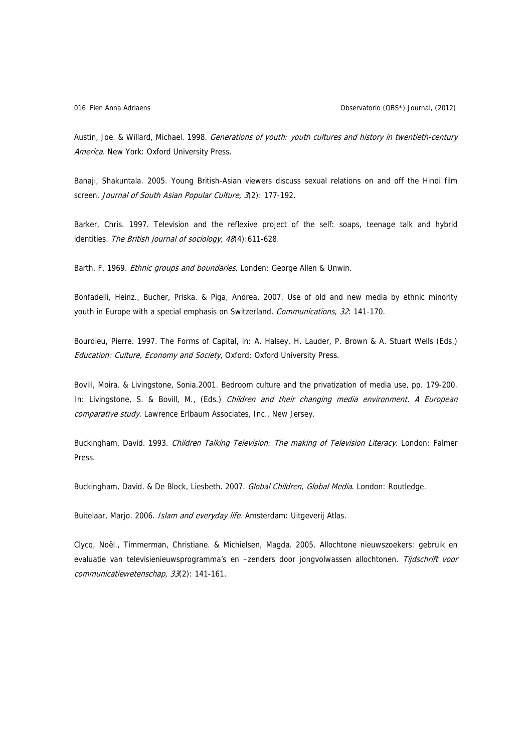Austin, Joe. & Willard, Michael. 1998. Generations of youth: youth cultures and history in twentieth-century America. New York: Oxford University Press.

Banaji, Shakuntala. 2005. Young British-Asian viewers discuss sexual relations on and off the Hindi film screen. Journal of South Asian Popular Culture, 3(2): 177-192.

Barker, Chris. 1997. Television and the reflexive project of the self: soaps, teenage talk and hybrid identities. The British journal of sociology, 48(4):611-628.

Barth, F. 1969. *Ethnic groups and boundaries*. Londen: George Allen & Unwin.

Bonfadelli, Heinz., Bucher, Priska. & Piga, Andrea. 2007. Use of old and new media by ethnic minority youth in Europe with a special emphasis on Switzerland. Communications, 32: 141-170.

Bourdieu, Pierre. 1997. The Forms of Capital, in: A. Halsey, H. Lauder, P. Brown & A. Stuart Wells (Eds.) Education: Culture, Economy and Society, Oxford: Oxford University Press.

Bovill, Moira. & Livingstone, Sonia.2001. Bedroom culture and the privatization of media use, pp. 179-200. In: Livingstone, S. & Bovill, M., (Eds.) Children and their changing media environment. A European comparative study. Lawrence Erlbaum Associates, Inc., New Jersey.

Buckingham, David. 1993. Children Talking Television: The making of Television Literacy. London: Falmer Press.

Buckingham, David. & De Block, Liesbeth. 2007. Global Children, Global Media. London: Routledge.

Buitelaar, Marjo. 2006. Islam and everyday life. Amsterdam: Uitgeverij Atlas.

Clycq, Noël., Timmerman, Christiane. & Michielsen, Magda. 2005. Allochtone nieuwszoekers: gebruik en evaluatie van televisienieuwsprogramma's en -zenders door jongvolwassen allochtonen. Tijdschrift voor communicatiewetenschap, 33(2): 141-161.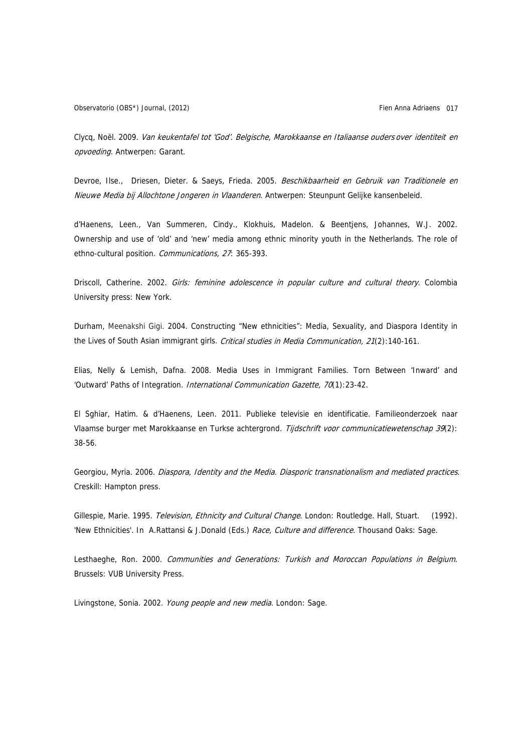Clycq, Noël. 2009. Van keukentafel tot 'God'. Belgische, Marokkaanse en Italiaanse ouders over identiteit en opvoeding. Antwerpen: Garant.

Devroe, Ilse., Driesen, Dieter. & Saeys, Frieda. 2005. Beschikbaarheid en Gebruik van Traditionele en Nieuwe Media bij Allochtone Jongeren in Vlaanderen. Antwerpen: Steunpunt Gelijke kansenbeleid.

d'Haenens, Leen., Van Summeren, Cindy., Klokhuis, Madelon. & Beentjens, Johannes, W.J. 2002. Ownership and use of 'old' and 'new' media among ethnic minority youth in the Netherlands. The role of ethno-cultural position. Communications, 27: 365-393.

Driscoll, Catherine. 2002. Girls: feminine adolescence in popular culture and cultural theory. Colombia University press: New York.

Durham, Meenakshi Gigi. 2004. Constructing "New ethnicities": Media, Sexuality, and Diaspora Identity in the Lives of South Asian immigrant girls. Critical studies in Media Communication, 21(2):140-161.

Elias, Nelly & Lemish, Dafna. 2008. Media Uses in Immigrant Families. Torn Between 'Inward' and 'Outward' Paths of Integration. International Communication Gazette, 70(1):23-42.

El Sghiar, Hatim. & d'Haenens, Leen. 2011. Publieke televisie en identificatie. Familieonderzoek naar Vlaamse burger met Marokkaanse en Turkse achtergrond. Tijdschrift voor communicatiewetenschap 39(2): 38-56.

Georgiou, Myria. 2006. Diaspora, Identity and the Media. Diasporic transnationalism and mediated practices. Creskill: Hampton press.

Gillespie, Marie. 1995. Television, Ethnicity and Cultural Change. London: Routledge. Hall, Stuart. (1992). 'New Ethnicities'. In A.Rattansi & J.Donald (Eds.) Race, Culture and difference. Thousand Oaks: Sage.

Lesthaeghe, Ron. 2000. Communities and Generations: Turkish and Moroccan Populations in Belgium. Brussels: VUB University Press.

Livingstone, Sonia. 2002. Young people and new media. London: Sage.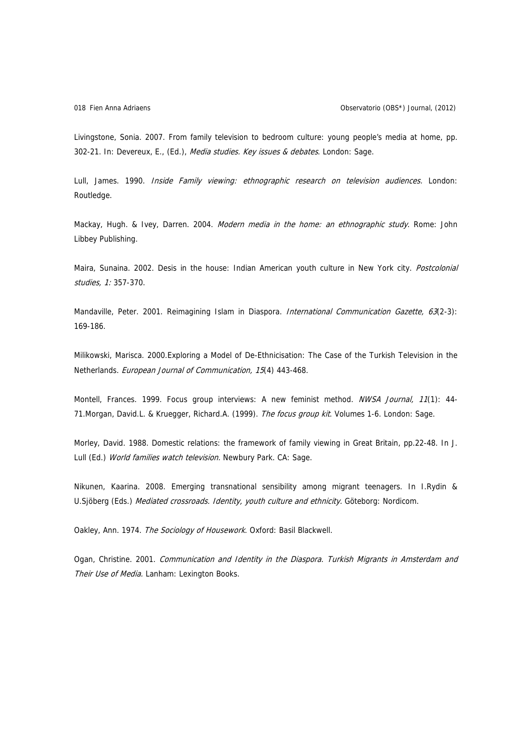Livingstone, Sonia. 2007. From family television to bedroom culture: young people's media at home, pp. 302-21. In: Devereux, E., (Ed.), Media studies. Key issues & debates. London: Sage.

Lull, James. 1990. Inside Family viewing: ethnographic research on television audiences. London: Routledge.

Mackay, Hugh. & Ivey, Darren. 2004. Modern media in the home: an ethnographic study. Rome: John Libbey Publishing.

Maira, Sunaina. 2002. Desis in the house: Indian American youth culture in New York city. Postcolonial studies, 1: 357-370.

Mandaville, Peter. 2001. Reimagining Islam in Diaspora. International Communication Gazette, 63(2-3): 169-186.

Milikowski, Marisca. 2000.Exploring a Model of De-Ethnicisation: The Case of the Turkish Television in the Netherlands. European Journal of Communication, 15(4) 443-468.

Montell, Frances. 1999. Focus group interviews: A new feminist method. NWSA Journal, 11(1): 44-71.Morgan, David.L. & Kruegger, Richard.A. (1999). The focus group kit. Volumes 1-6. London: Sage.

Morley, David. 1988. Domestic relations: the framework of family viewing in Great Britain, pp.22-48. In J. Lull (Ed.) World families watch television. Newbury Park. CA: Sage.

Nikunen, Kaarina. 2008. Emerging transnational sensibility among migrant teenagers. In I.Rydin & U.Sjöberg (Eds.) Mediated crossroads. Identity, youth culture and ethnicity. Göteborg: Nordicom.

Oakley, Ann. 1974. The Sociology of Housework. Oxford: Basil Blackwell.

Ogan, Christine. 2001. Communication and Identity in the Diaspora. Turkish Migrants in Amsterdam and Their Use of Media. Lanham: Lexington Books.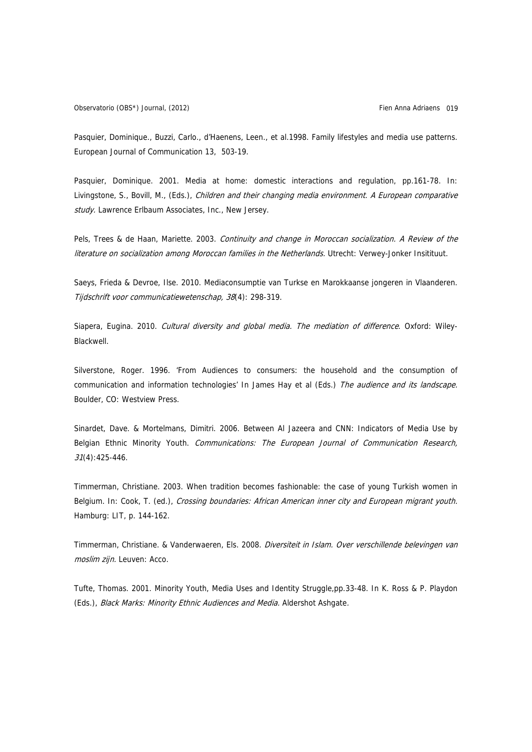Pasquier, Dominique., Buzzi, Carlo., d'Haenens, Leen., et al.1998. Family lifestyles and media use patterns. European Journal of Communication 13, 503-19.

Pasquier, Dominique. 2001. Media at home: domestic interactions and regulation, pp.161-78. In: Livingstone, S., Bovill, M., (Eds.), Children and their changing media environment. A European comparative study. Lawrence Erlbaum Associates, Inc., New Jersey.

Pels, Trees & de Haan, Mariette. 2003. Continuity and change in Moroccan socialization. A Review of the literature on socialization among Moroccan families in the Netherlands. Utrecht: Verwey-Jonker Insitituut.

Saeys, Frieda & Devroe, Ilse. 2010. Mediaconsumptie van Turkse en Marokkaanse jongeren in Vlaanderen. Tijdschrift voor communicatiewetenschap, 38(4): 298-319.

Siapera, Eugina. 2010. Cultural diversity and global media. The mediation of difference. Oxford: Wiley-Blackwell.

Silverstone, Roger. 1996. 'From Audiences to consumers: the household and the consumption of communication and information technologies' In James Hay et al (Eds.) The audience and its landscape. Boulder, CO: Westview Press.

Sinardet, Dave. & Mortelmans, Dimitri. 2006. Between Al Jazeera and CNN: Indicators of Media Use by Belgian Ethnic Minority Youth. Communications: The European Journal of Communication Research, 31(4):425-446.

Timmerman, Christiane. 2003. When tradition becomes fashionable: the case of young Turkish women in Belgium. In: Cook, T. (ed.), Crossing boundaries: African American inner city and European migrant youth. Hamburg: LIT, p. 144-162.

Timmerman, Christiane. & Vanderwaeren, Els. 2008. Diversiteit in Islam. Over verschillende belevingen van moslim zijn. Leuven: Acco.

Tufte, Thomas. 2001. Minority Youth, Media Uses and Identity Struggle,pp.33-48. In K. Ross & P. Playdon (Eds.), Black Marks: Minority Ethnic Audiences and Media. Aldershot Ashgate.